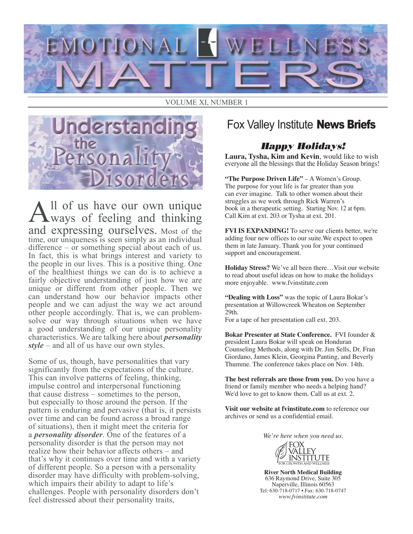

#### VOLUME XI, NUMBER 1



All of us have our own unique ways of feeling and thinking and expressing ourselves. Most of the time, our uniqueness is seen simply as an individual difference – or something special about each of us. In fact, this is what brings interest and variety to the people in our lives. This is a positive thing. One of the healthiest things we can do is to achieve a fairly objective understanding of just how we are unique or different from other people. Then we can understand how our behavior impacts other people and we can adjust the way we act around other people accordingly. That is, we can problemsolve our way through situations when we have a good understanding of our unique personality characteristics. We are talking here about *personality style* – and all of us have our own styles.

Some of us, though, have personalities that vary significantly from the expectations of the culture. This can involve patterns of feeling, thinking, impulse control and interpersonal functioning that cause distress – sometimes to the person, but especially to those around the person. If the pattern is enduring and pervasive (that is, it persists over time and can be found across a broad range of situations), then it might meet the criteria for a *personality disorder*. One of the features of a personality disorder is that the person may not realize how their behavior affects others – and that's why it continues over time and with a variety of different people. So a person with a personality disorder may have difficulty with problem-solving, which impairs their ability to adapt to life's challenges. People with personality disorders don't feel distressed about their personality traits,

## Fox Valley Institute **News Briefs**

### *Happy Holidays!*

**Laura, Tysha, Kim and Kevin**, would like to wish everyone all the blessings that the Holiday Season brings!

**"The Purpose Driven Life"** – A Women's Group. The purpose for your life is far greater than you can ever imagine. Talk to other women about their struggles as we work through Rick Warren's book in a therapeutic setting. Starting Nov. 12 at 6pm. Call Kim at ext. 203 or Tysha at ext. 201.

**FVI IS EXPANDING!** To serve our clients better, we're adding four new offices to our suite.We expect to open them in late January. Thank you for your continued support and encouragement.

**Holiday Stress?** We've all been there…Visit our website to read about useful ideas on how to make the holidays more enjoyable. www.fvinstitute.com

**"Dealing with Loss"** was the topic of Laura Bokar's presentation at Willowcreek Wheaton on September 29th.

For a tape of her presentation call ext. 203.

**Bokar Presenter at State Conference.** FVI founder & president Laura Bokar will speak on Honduran Counseling Methods, along with Dr. Jim Sells, Dr. Fran Giordano, James Klein, Georgina Panting, and Beverly Thumme. The conference takes place on Nov. 14th.

**The best referrals are those from you.** Do you have a friend or family member who needs a helping hand? We'd love to get to know them. Call us at ext. 2.

**Visit our website at fvinstitute.com** to reference our archives or send us a confidential email.

*We're here when you need us.*



**River North Medical Building** 636 Raymond Drive, Suite 305 Naperville, Illinois 60563 Tel: 630-718-0717 • Fax: 630-718-0747 *www.fvinstitute.com*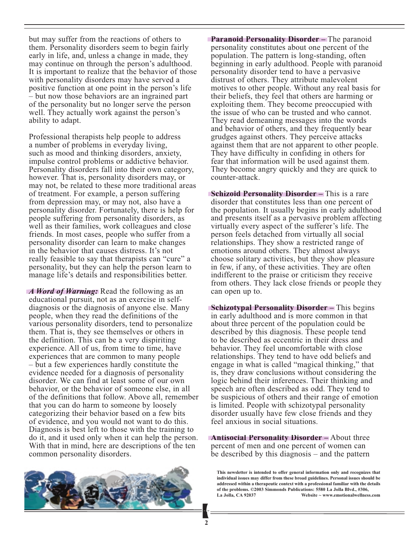but may suffer from the reactions of others to them. Personality disorders seem to begin fairly early in life, and, unless a change in made, they may continue on through the person's adulthood. It is important to realize that the behavior of those with personality disorders may have served a positive function at one point in the person's life – but now those behaviors are an ingrained part of the personality but no longer serve the person well. They actually work against the person's ability to adapt.

Professional therapists help people to address a number of problems in everyday living, such as mood and thinking disorders, anxiety, impulse control problems or addictive behavior. Personality disorders fall into their own category, however. That is, personality disorders may, or may not, be related to these more traditional areas of treatment. For example, a person suffering from depression may, or may not, also have a personality disorder. Fortunately, there is help for people suffering from personality disorders, as well as their families, work colleagues and close friends. In most cases, people who suffer from a personality disorder can learn to make changes in the behavior that causes distress. It's not really feasible to say that therapists can "cure" a personality, but they can help the person learn to manage life's details and responsibilities better.

*A Word of Warning:* Read the following as an educational pursuit, not as an exercise in selfdiagnosis or the diagnosis of anyone else. Many people, when they read the definitions of the various personality disorders, tend to personalize them. That is, they see themselves or others in the definition. This can be a very dispiriting experience. All of us, from time to time, have experiences that are common to many people – but a few experiences hardly constitute the evidence needed for a diagnosis of personality disorder. We can find at least some of our own behavior, or the behavior of someone else, in all of the definitions that follow. Above all, remember that you can do harm to someone by loosely categorizing their behavior based on a few bits of evidence, and you would not want to do this. Diagnosis is best left to those with the training to do it, and it used only when it can help the person. With that in mind, here are descriptions of the ten common personality disorders.



**Paranoid Personality Disorder –** The paranoid personality constitutes about one percent of the population. The pattern is long-standing, often beginning in early adulthood. People with paranoid personality disorder tend to have a pervasive distrust of others. They attribute malevolent motives to other people. Without any real basis for their beliefs, they feel that others are harming or exploiting them. They become preoccupied with the issue of who can be trusted and who cannot. They read demeaning messages into the words and behavior of others, and they frequently bear grudges against others. They perceive attacks against them that are not apparent to other people. They have difficulty in confiding in others for fear that information will be used against them. They become angry quickly and they are quick to counter-attack.

**Schizoid Personality Disorder –** This is a rare disorder that constitutes less than one percent of the population. It usually begins in early adulthood and presents itself as a pervasive problem affecting virtually every aspect of the sufferer's life. The person feels detached from virtually all social relationships. They show a restricted range of emotions around others. They almost always choose solitary activities, but they show pleasure in few, if any, of these activities. They are often indifferent to the praise or criticism they receive from others. They lack close friends or people they can open up to.

**Schizotypal Personality Disorder –** This begins in early adulthood and is more common in that about three percent of the population could be described by this diagnosis. These people tend to be described as eccentric in their dress and behavior. They feel uncomfortable with close relationships. They tend to have odd beliefs and engage in what is called "magical thinking," that is, they draw conclusions without considering the logic behind their inferences. Their thinking and speech are often described as odd. They tend to be suspicious of others and their range of emotion is limited. People with schizotypal personality disorder usually have few close friends and they feel anxious in social situations.

**Antisocial Personality Disorder –** About three percent of men and one percent of women can be described by this diagnosis – and the pattern

**This newsletter is intended to offer general information only and recognizes that individual issues may differ from these broad guidelines. Personal issues should be addressed within a therapeutic context with a professional familiar with the details of the problems. ©2003 Simmonds Publications: 5580 La Jolla Blvd., #306, La Jolla, CA 92037 Website ~ www.emotionalwellness.com**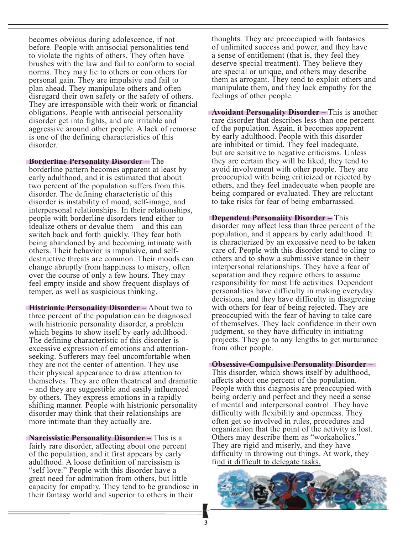becomes obvious during adolescence, if not before. People with antisocial personalities tend to violate the rights of others. They often have brushes with the law and fail to conform to social norms. They may lie to others or con others for personal gain. They are impulsive and fail to plan ahead. They manipulate others and often disregard their own safety or the safety of others. They are irresponsible with their work or financial obligations. People with antisocial personality disorder get into fights, and are irritable and aggressive around other people. A lack of remorse is one of the defining characteristics of this disorder.

**Borderline Personality Disorder –** The borderline pattern becomes apparent at least by early adulthood, and it is estimated that about two percent of the population suffers from this disorder. The defining characteristic of this disorder is instability of mood, self-image, and interpersonal relationships. In their relationships, people with borderline disorders tend either to idealize others or devalue them – and this can switch back and forth quickly. They fear both being abandoned by and becoming intimate with others. Their behavior is impulsive, and selfdestructive threats are common. Their moods can change abruptly from happiness to misery, often over the course of only a few hours. They may feel empty inside and show frequent displays of temper, as well as suspicious thinking.

**Histrionic Personality Disorder –** About two to three percent of the population can be diagnosed with histrionic personality disorder, a problem which begins to show itself by early adulthood. The defining characteristic of this disorder is excessive expression of emotions and attentionseeking. Sufferers may feel uncomfortable when they are not the center of attention. They use their physical appearance to draw attention to themselves. They are often theatrical and dramatic – and they are suggestible and easily influenced by others. They express emotions in a rapidly shifting manner. People with histrionic personality disorder may think that their relationships are more intimate than they actually are.

**Narcissistic Personality Disorder –** This is a fairly rare disorder, affecting about one percent of the population, and it first appears by early adulthood. A loose definition of narcissism is "self love." People with this disorder have a great need for admiration from others, but little capacity for empathy. They tend to be grandiose in their fantasy world and superior to others in their

thoughts. They are preoccupied with fantasies of unlimited success and power, and they have a sense of entitlement (that is, they feel they deserve special treatment). They believe they are special or unique, and others may describe them as arrogant. They tend to exploit others and manipulate them, and they lack empathy for the feelings of other people.

**Avoidant Personality Disorder –** This is another rare disorder that describes less than one percent of the population. Again, it becomes apparent by early adulthood. People with this disorder are inhibited or timid. They feel inadequate, but are sensitive to negative criticisms. Unless they are certain they will be liked, they tend to avoid involvement with other people. They are preoccupied with being criticized or rejected by others, and they feel inadequate when people are being compared or evaluated. They are reluctant to take risks for fear of being embarrassed.

**Dependent Personality Disorder –** This disorder may affect less than three percent of the population, and it appears by early adulthood. It is characterized by an excessive need to be taken care of. People with this disorder tend to cling to others and to show a submissive stance in their interpersonal relationships. They have a fear of separation and they require others to assume responsibility for most life activities. Dependent personalities have difficulty in making everyday decisions, and they have difficulty in disagreeing with others for fear of being rejected. They are preoccupied with the fear of having to take care of themselves. They lack confidence in their own judgment, so they have difficulty in initiating projects. They go to any lengths to get nurturance from other people.

#### **Obsessive-Compulsive Personality Disorder –**

This disorder, which shows itself by adulthood, affects about one percent of the population. People with this diagnosis are preoccupied with being orderly and perfect and they need a sense of mental and interpersonal control. They have difficulty with flexibility and openness. They often get so involved in rules, procedures and organization that the point of the activity is lost. Others may describe them as "workaholics." They are rigid and miserly, and they have difficulty in throwing out things. At work, they find it difficult to delegate tasks.